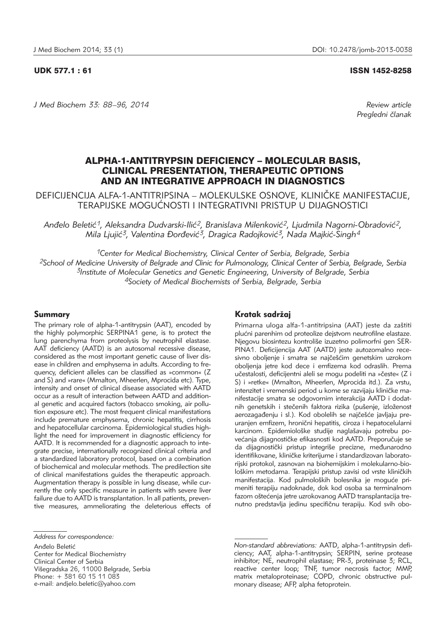#### UDK 577.1 : 61 ISSN 1452-8258

*J Med Biochem 33: 88–96, 2014 Review article*

*Pregledni ~lanak*

# ALPHA-1-ANTITRYPSIN DEFICIENCY – MOLECULAR BASIS, CLINICAL PRESENTATION, THERAPEUTIC OPTIONS AND AN INTEGRATIVE APPROACH IN DIAGNOSTICS

DEFICIJENCIJA ALFA-1-ANTITRIPSINA – MOLEKULSKE OSNOVE, KLINIČKE MANIFESTACIJE, TERAPIJSKE MOGU]NOSTI I INTEGRATIVNI PRISTUP U DIJAGNOSTICI

Anđelo Beletić<sup>1</sup>, Aleksandra Dudvarski-Ilić<sup>2</sup>, Branislava Milenković<sup>2</sup>, Ljudmila Nagorni-Obradović<sup>2</sup>, *Mila Ljujić<sup>3</sup>, Valentina Đorđević<sup>3</sup>, Dragica Radojković<sup>3</sup>, Nada Majkić-Singh<sup>4</sup>* 

*1Center for Medical Biochemistry, Clinical Center of Serbia, Belgrade, Serbia 2School of Medicine University of Belgrade and Clinic for Pulmonology, Clinical Center of Serbia, Belgrade, Serbia 3Institute of Molecular Genetics and Genetic Engineering, University of Belgrade, Serbia 4Society of Medical Biochemists of Serbia, Belgrade, Serbia*

# Summary

The primary role of alpha-1-antitrypsin (AAT), encoded by the highly polymorphic SERPINA1 gene, is to protect the lung parenchyma from proteolysis by neutrophil elastase. AAT deficiency (AATD) is an autosomal recessive disease, considered as the most important genetic cause of liver disease in children and emphysema in adults. According to frequency, deficient alleles can be classified as »common« (Z and S) and »rare« (Mmalton, Mheerlen, Mprocida etc). Type, intensity and onset of clinical disease associated with AATD occur as a result of interaction between AATD and additional genetic and acquired factors (tobacco smoking, air pollution exposure etc). The most frequent clinical manifestations include premature emphysema, chronic hepatitis, cirrhosis and hepatocellular carcinoma. Epidemiological studies highlight the need for improvement in diagnostic efficiency for AATD. It is recommended for a diagnostic approach to integrate precise, internationally recognized clinical criteria and a standardized laboratory protocol, based on a combination of biochemical and molecular methods. The predilection site of clinical manifestations guides the therapeutic approach. Augmentation therapy is possible in lung disease, while currently the only specific measure in patients with severe liver failure due to AATD is transplantation. In all patients, preventive measures, ammeliorating the deleterious effects of

Anđelo Beletić

Center for Medical Biochemistry Clinical Center of Serbia Višegradska 26, 11000 Belgrade, Serbia Phone: + 381 60 15 11 083 e-mail: andjelo.beletic@yahoo.com

# Kratak sadržaj

Primarna uloga alfa-1-antitripsina (AAT) jeste da zaštiti plućni parenhim od proteolize dejstvom neutrofilne elastaze. Njegovu biosintezu kontroliše izuzetno polimorfni gen SER-PINA1. Deficijencija AAT (AATD) jeste autozomalno recesivno oboljenje i smatra se najčešćim genetskim uzrokom obolje nja jetre kod dece i emfizema kod odraslih. Prema učestalosti, deficijentni aleli se mogu podeliti na »česte« (Z i S) i »retke« (Mmalton, Mheerlen, Mprocida itd.). Za vrstu, intenzitet i vremenski period u kome se razvijaju kliničke manifestacije smatra se odgovornim interakcija AATD i dodatnih genetskih i stečenih faktora rizika (pušenje, izloženost aerozagađenju i sl.). Kod obolelih se najčešće javljaju preuranjen emfizem, hronični hepatitis, ciroza i hepatocelularni karcinom. Epidemiološke studije naglašavaju potrebu povećanja dijagnostičke efikasnosti kod AATD. Preporučuje se da dijagnostički pristup integriše precizne, međunarodno identifikovane, kliničke kriterijume i standardizovan laboratorijski protokol, zasnovan na biohemijskim i molekularno-biološkim metodama. Terapijski pristup zavisi od vrste kliničkih manifestacija. Kod pulmoloških bolesnika je moguće primeniti terapiju nadoknade, dok kod osoba sa terminalnom fazom oštećenja jetre uzrokovanog AATD transplantacija trenutno predstavlja jedinu specifičnu terapiju. Kod svih obo-

*Address for correspondence:*

*Non-standard abbreviations:* AATD, alpha-1-antitrypsin deficiency; AAT, alpha-1-antitrypsin; SERPIN, serine protease inhibitor; NE, neutrophil elastase; PR-3, proteinase 3; RCL, reactive center loop; TNF, tumor necrosis factor; MMP, matrix metaloproteinase; COPD, chronic obstructive pulmonary disease; AFP, alpha fetoprotein.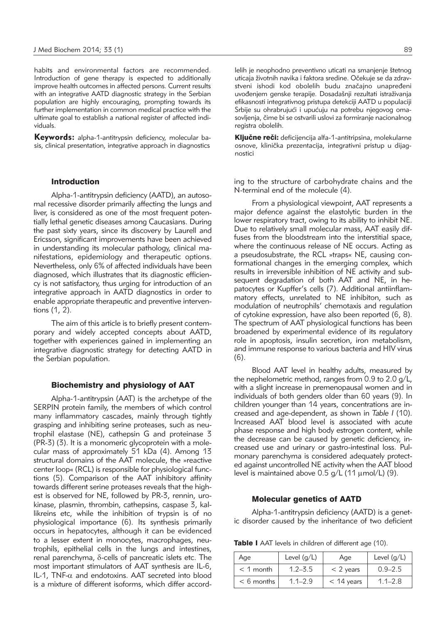habits and environmental factors are recommended. Introduction of gene therapy is expected to additionally improve health outcomes in affected persons. Current results with an integrative AATD diagnostic strategy in the Serbian population are highly encouraging, prompting towards its further implementation in common medical practice with the ultimate goal to establish a national register of affected individuals.

Keywords: alpha-1-antitrypsin deficiency, molecular basis, clinical presentation, integrative approach in diagnostics

#### Introduction

Alpha-1-antitrypsin deficiency (AATD), an autosomal recessive disorder primarily affecting the lungs and liver, is considered as one of the most frequent potentially lethal genetic diseases among Caucasians. During the past sixty years, since its discovery by Laurell and Ericsson, significant improvements have been achieved in understanding its molecular pathology, clinical manifestations, epidemiology and therapeutic options. Nevertheless, only 6% of affected individuals have been diagnosed, which illustrates that its diagnostic efficiency is not satisfactory, thus urging for introduction of an integrative approach in AATD diagnostics in order to enable appropriate therapeutic and preventive interventions (1, 2).

The aim of this article is to briefly present contemporary and widely accepted concepts about AATD, together with experiences gained in implementing an integrative diagnostic strategy for detecting AATD in the Serbian population.

# Biochemistry and physiology of AAT

Alpha-1-antitrypsin (AAT) is the archetype of the SERPIN protein family, the members of which control many inflammatory cascades, mainly through tightly grasping and inhibiting serine proteases, such as neutrophil elastase (NE), cathepsin G and proteinase 3 (PR-3) (3). It is a monomeric glycoprotein with a molecular mass of approximately 51 kDa (4). Among 13 structural domains of the AAT molecule, the »reactive center loop« (RCL) is responsible for physiological functions (5). Comparison of the AAT inhibitory affinity towards different serine proteases reveals that the highest is observed for NE, followed by PR-3, rennin, urokinase, plasmin, thrombin, cathepsins, caspase 3, kallikreins etc, while the inhibition of trypsin is of no physiological importance (6). Its synthesis primarily occurs in hepatocytes, although it can be evidenced to a lesser extent in monocytes, macrophages, neutrophils, epithelial cells in the lungs and intestines, renal parenchyma,  $\delta$ -cells of pancreatic islets etc. The most important stimulators of AAT synthesis are IL-6, IL-1, TNF- $\alpha$  and endotoxins. AAT secreted into blood is a mixture of different isoforms, which differ accordlelih je neophodno preventivno uticati na smanjenje štetnog uticaja životnih navika i faktora sredine. Očekuje se da zdravstveni ishodi kod obolelih budu značajno unapređeni uvođenjem genske terapije. Dosadašnji rezultati istraživanja efikasnosti integrativnog pristupa detekciji AATD u populaciji Srbije su ohrabrujući i upućuju na potrebu njegovog omasovljenja, čime bi se ostvarili uslovi za formiranje nacionalnog registra obolelih.

Ključne reči: deficijencija alfa-1-antitripsina, molekularne osnove, klinička prezentacija, integrativni pristup u dijagnostici

ing to the structure of carbohydrate chains and the N-terminal end of the molecule (4).

From a physiological viewpoint, AAT represents a major defence against the elastolytic burden in the lower respiratory tract, owing to its ability to inhibit NE. Due to relatively small molecular mass, AAT easily diffuses from the bloodstream into the interstitial space, where the continuous release of NE occurs. Acting as a pseudosubstrate, the RCL »traps« NE, causing conformational changes in the emerging complex, which results in irreversible inhibition of NE activity and subsequent degradation of both AAT and NE, in hepatocytes or Kupffer's cells (7). Additional antiinflammatory effects, unrelated to NE inhibiton, such as modulation of neutrophils' chemotaxis and regulation of cytokine expression, have also been reported (6, 8). The spectrum of AAT physiological functions has been broadened by experimental evidence of its regulatory role in apoptosis, insulin secretion, iron metabolism, and immune response to various bacteria and HIV virus (6).

Blood AAT level in healthy adults, measured by the nephelometric method, ranges from 0.9 to 2.0 g/L, with a slight increase in premenopausal women and in individuals of both genders older than 60 years (9). In children younger than 14 years, concentrations are increased and age-dependent, as shown in *Table I* (10). Increased AAT blood level is associated with acute phase response and high body estrogen content, while the decrease can be caused by genetic deficiency, increased use and urinary or gastro-intestinal loss. Pulmonary parenchyma is considered adequately protected against uncontrolled NE activity when the AAT blood level is maintained above 0.5 g/L (11  $\mu$ mol/L) (9).

### Molecular genetics of AATD

Alpha-1-antitrypsin deficiency (AATD) is a genetic disorder caused by the inheritance of two deficient

Table I AAT levels in children of different age (10).

| Age          | Level $(g/L)$ | Age          | Level $(g/L)$ |
|--------------|---------------|--------------|---------------|
| $<$ 1 month  | $1.2 - 3.5$   | $<$ 2 years  | $0.9 - 2.5$   |
| $< 6$ months | $1.1 - 2.9$   | $<$ 14 years | $1.1 - 2.8$   |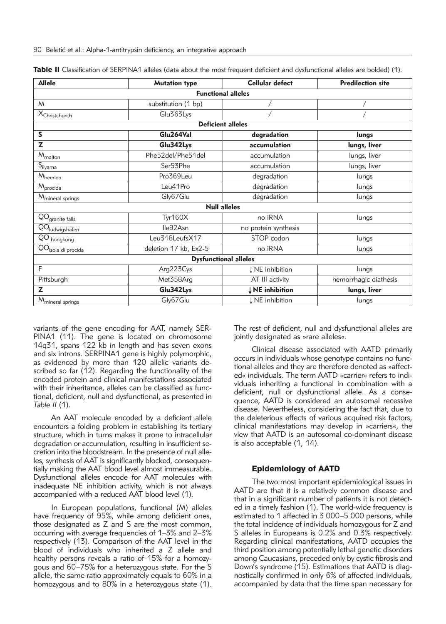| <b>Allele</b>                  | <b>Mutation type</b>      | <b>Cellular defect</b> | <b>Predilection site</b> |  |  |  |  |
|--------------------------------|---------------------------|------------------------|--------------------------|--|--|--|--|
|                                | <b>Functional alleles</b> |                        |                          |  |  |  |  |
| M                              | substitution (1 bp)       |                        |                          |  |  |  |  |
| X <sub>Christchurch</sub>      | Glu363Lys                 |                        |                          |  |  |  |  |
|                                | <b>Deficient alleles</b>  |                        |                          |  |  |  |  |
| S                              | Glu264Val                 | degradation            | lungs                    |  |  |  |  |
| z                              | Glu342Lys                 | accumulation           | lungs, liver             |  |  |  |  |
| $\overline{M}_{\text{malton}}$ | Phe52del/Phe51del         | accumulation           | lungs, liver             |  |  |  |  |
| $S_{ii\gamma ama}$             | Ser53Phe                  | accumulation           | lungs, liver             |  |  |  |  |
| M <sub>heerlen</sub>           | Pro369Leu                 | degradation            | lungs                    |  |  |  |  |
| $M_{\text{procida}}$           | Leu41Pro                  | degradation            | lungs                    |  |  |  |  |
| $M_{\text{mineral springs}}$   | Gly67Glu                  | degradation            | lungs                    |  |  |  |  |
|                                | <b>Null alleles</b>       |                        |                          |  |  |  |  |
| QO <sub>granite falls</sub>    | Tyr160X                   | no iRNA                | lungs                    |  |  |  |  |
| QO <sub>ludwigshafen</sub>     | lle92Asn                  | no protein synthesis   |                          |  |  |  |  |
| QO hongkong                    | Leu318LeufsX17            | STOP codon             | lungs                    |  |  |  |  |
| QO <sub>isola di procida</sub> | deletion 17 kb, Ex2-5     | no iRNA                | lungs                    |  |  |  |  |
| <b>Dysfunctional alleles</b>   |                           |                        |                          |  |  |  |  |
| F                              | Arg223Cys                 | <b>J</b> NE inhibition | lungs                    |  |  |  |  |
| Pittsburgh                     | Met358Arg                 | AT III activity        | hemorrhagic diathesis    |  |  |  |  |
| Z                              | Glu342Lys                 | <b>J</b> NE inhibition | lungs, liver             |  |  |  |  |
| M <sub>mineral</sub> springs   | Gly67Glu                  | ↓NE inhibition         | lungs                    |  |  |  |  |

|  |  |  |  |  |  | Table II Classification of SERPINA1 alleles (data about the most frequent deficient and dysfunctional alleles are bolded) (1). |  |  |  |  |  |
|--|--|--|--|--|--|--------------------------------------------------------------------------------------------------------------------------------|--|--|--|--|--|
|--|--|--|--|--|--|--------------------------------------------------------------------------------------------------------------------------------|--|--|--|--|--|

variants of the gene encoding for AAT, namely SER-PINA1 (11). The gene is located on chromosome 14q31, spans 122 kb in length and has seven exons and six introns. SERPINA1 gene is highly polymorphic, as evidenced by more than 120 allelic variants described so far (12). Regarding the functionality of the encoded protein and clinical manifestations associated with their inheritance, alleles can be classified as functional, deficient, null and dysfunctional, as presented in *Table II* (1).

An AAT molecule encoded by a deficient allele encounters a folding problem in establishing its tertiary structure, which in turns makes it prone to intracellular degradation or accumulation, resulting in insufficient secretion into the bloodstream. In the presence of null alleles, synthesis of AAT is significantly blocked, consequentially making the AAT blood level almost immeasurable. Dysfunctional alleles encode for AAT molecules with inadequate NE inhibition activity, which is not always accompanied with a reduced AAT blood level (1).

In European populations, functional (M) alleles have frequency of 95%, while among deficient ones, those designated as Z and S are the most common, occurring with average frequencies of 1–3% and 2–3% respectively (13). Comparison of the AAT level in the blood of individuals who inherited a Z allele and healthy persons reveals a ratio of 15% for a homozygous and 60–75% for a heterozygous state. For the S allele, the same ratio approximately equals to 60% in a homozygous and to 80% in a heterozygous state (1). The rest of deficient, null and dysfunctional alleles are jointly designated as »rare alleles«.

Clinical disease associated with AATD primarily occurs in individuals whose genotype contains no functional alleles and they are therefore denoted as »affected« individuals. The term AATD »carrier« refers to individuals inheriting a functional in combination with a deficient, null or dysfunctional allele. As a consequence, AATD is considered an autosomal recessive disease. Nevertheless, considering the fact that, due to the deleterious effects of various acquired risk factors, clinical manifestations may develop in »carriers«, the view that AATD is an autosomal co-dominant disease is also acceptable (1, 14).

# Epidemiology of AATD

The two most important epidemiological issues in AATD are that it is a relatively common disease and that in a significant number of patients it is not detected in a timely fashion (1). The world-wide frequency is estimated to 1 affected in 3 000–5 000 persons, while the total incidence of individuals homozygous for Z and S alleles in Europeans is 0.2% and 0.3% respectively. Regarding clinical manifestations, AATD occupies the third position among potentially lethal genetic disorders among Caucasians, preceded only by cystic fibrosis and Down's syndrome (15). Estimations that AATD is diagnostically confirmed in only 6% of affected individuals, accompanied by data that the time span necessary for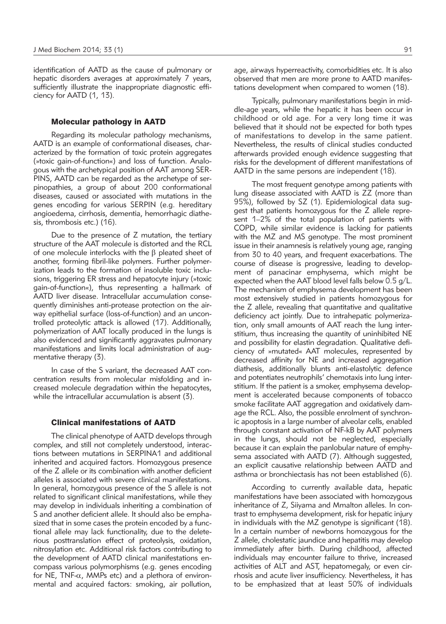identification of AATD as the cause of pulmonary or hepatic disorders averages at approximately 7 years, sufficiently illustrate the inappropriate diagnostic efficiency for AATD (1, 13).

# Molecular pathology in AATD

Regarding its molecular pathology mechanisms, AATD is an example of conformational diseases, characterized by the formation of toxic protein aggregates (»toxic gain-of-function«) and loss of function. Analogous with the archetypical position of AAT among SER-PINS, AATD can be regarded as the archetype of serpinopathies, a group of about 200 conformational diseases, caused or associated with mutations in the genes encoding for various SERPIN (e.g. hereditary angio edema, cirrhosis, dementia, hemorrhagic diathesis, thrombosis etc.) (16).

Due to the presence of Z mutation, the tertiary structure of the AAT molecule is distorted and the RCL of one molecule interlocks with the  $\beta$  pleated sheet of another, forming fibril-like polymers. Further polymerization leads to the formation of insoluble toxic inclusions, triggering ER stress and hepatocyte injury (»toxic gain-of-function«), thus representing a hallmark of AATD liver disease. Intracellular accumulation consequently diminishes anti-protease protection on the airway epithelial surface (loss-of-function) and an uncontrolled proteolytic attack is allowed (17). Additionally, polymerization of AAT locally produced in the lungs is also evidenced and significantly aggravates pulmonary manifestations and limits local administration of augmentative therapy (3).

In case of the S variant, the decreased AAT concentration results from molecular misfolding and increased molecule degradation within the hepatocytes, while the intracellular accumulation is absent (3).

#### Clinical manifestations of AATD

The clinical phenotype of AATD develops through complex, and still not completely understood, interactions between mutations in SERPINA1 and additional inherited and acquired factors. Homozygous presence of the Z allele or its combination with another deficient alleles is associated with severe clinical manifestations. In general, homozygous presence of the S allele is not related to significant clinical manifestations, while they may develop in individuals inheriting a combination of S and another deficient allele. It should also be emphasized that in some cases the protein encoded by a functional allele may lack functionality, due to the deleterious posttranslation effect of proteolysis, oxidation, nitrosylation etc. Additional risk factors contributing to the development of AATD clinical manifestations encompass various polymorphisms (e.g. genes encoding for NE, TNF- $\alpha$ , MMPs etc) and a plethora of environmental and acquired factors: smoking, air pollution,

age, airways hyperreactivity, comorbidities etc. It is also observed that men are more prone to AATD manifestations development when compared to women (18).

Typically, pulmonary manifestations begin in middle-age years, while the hepatic it has been occur in childhood or old age. For a very long time it was believed that it should not be expected for both types of manifestations to develop in the same patient. Nevertheless, the results of clinical studies conducted afterwards provided enough evidence suggesting that risks for the development of different manifestations of AATD in the same persons are independent (18).

The most frequent genotype among patients with lung disease associated with AATD is ZZ (more than 95%), followed by SZ (1). Epidemiological data suggest that patients homozygous for the Z allele represent 1–2% of the total population of patients with COPD, while similar evidence is lacking for patients with the MZ and MS genotype. The most prominent issue in their anamnesis is relatively young age, ranging from 30 to 40 years, and frequent exacerbations. The course of disease is progressive, leading to development of panacinar emphysema, which might be expected when the AAT blood level falls below 0.5 g/L. The mechanism of emphysema development has been most extensively studied in patients homozygous for the Z allele, revealing that quantitative and qualitative deficiency act jointly. Due to intrahepatic polymerization, only small amounts of AAT reach the lung interstitium, thus increasing the quantity of uninhibited NE and possibility for elastin degradation. Qualitative deficiency of »mutated« AAT molecules, represented by decreased affinity for NE and increased aggregation diathesis, additionally blunts anti-elastolytic defence and potentiates neutrophils' chemotaxis into lung interstitium. If the patient is a smoker, emphysema development is accelerated because components of tobacco smoke facilitate AAT aggregation and oxidatively damage the RCL. Also, the possible enrolment of synchronic apoptosis in a large number of alveolar cells, enabled through constant activation of NF-kB by AAT polymers in the lungs, should not be neglected, especially because it can explain the panlobular nature of emphysema associated with AATD (7). Although suggested, an explicit causative relationship between AATD and asthma or bronchiectasis has not been established (6).

According to currently available data, hepatic manifestations have been associated with homozygous inheritance of Z, Siiyama and Mmalton alleles. In contrast to emphysema development, risk for hepatic injury in individuals with the MZ genotype is significant (18). In a certain number of newborns homozygous for the Z allele, cholestatic jaundice and hepatitis may develop immediately after birth. During childhood, affected individuals may encounter failure to thrive, increased activities of ALT and AST, hepatomegaly, or even cirrhosis and acute liver insufficiency. Nevertheless, it has to be emphasized that at least 50% of individuals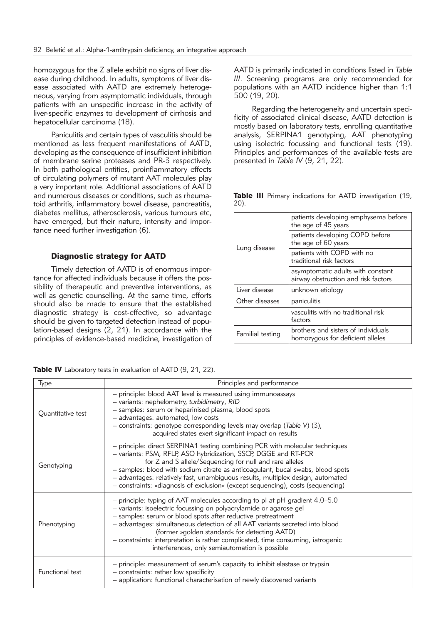homozygous for the Z allele exhibit no signs of liver disease during childhood. In adults, symptoms of liver disease associated with AATD are extremely heterogeneous, varying from asymptomatic individuals, through patients with an unspecific increase in the activity of liver-specific enzymes to development of cirrhosis and hepatocellular carcinoma (18).

Paniculitis and certain types of vasculitis should be mentioned as less frequent manifestations of AATD, developing as the consequence of insufficient inhibition of membrane serine proteases and PR-3 respectively. In both pathological entities, proinflammatory effects of circulating polymers of mutant AAT molecules play a very important role. Additional associations of AATD and numerous diseases or conditions, such as rheumatoid arthritis, inflammatory bowel disease, pancreatitis, diabetes mellitus, atherosclerosis, various tumours etc, have emerged, but their nature, intensity and importance need further investigation (6).

# Diagnostic strategy for AATD

Timely detection of AATD is of enormous importance for affected individuals because it offers the possibility of therapeutic and preventive interventions, as well as genetic counselling. At the same time, efforts should also be made to ensure that the established diagnostic strategy is cost-effective, so advantage should be given to targeted detection instead of population-based designs (2, 21). In accordance with the principles of evidence-based medicine, investigation of

Table IV Laboratory tests in evaluation of AATD (9, 21, 22).

AATD is primarily indicated in conditions listed in *Table III*. Screening programs are only recommended for populations with an AATD incidence higher than 1:1 500 (19, 20).

Regarding the heterogeneity and uncertain specificity of associated clinical disease, AATD detection is mostly based on laboratory tests, enrolling quantitative analysis, SERPINA1 genotyping, AAT phenotyping using isolectric focussing and functional tests (19). Principles and performances of the available tests are presented in *Table IV* (9, 21, 22).

Table III Primary indications for AATD investigation (19, 20).

| Lung disease     | patients developing emphysema before<br>the age of 45 years              |
|------------------|--------------------------------------------------------------------------|
|                  | patients developing COPD before<br>the age of 60 years                   |
|                  | patients with COPD with no<br>traditional risk factors                   |
|                  | asymptomatic adults with constant<br>airway obstruction and risk factors |
| Liver disease    | unknown etiology                                                         |
| Other diseases   | paniculitis                                                              |
|                  | vasculitis with no traditional risk<br>factors                           |
| Familial testing | brothers and sisters of individuals<br>homozygous for deficient alleles  |

| Type              | Principles and performance                                                                                                                                                                                                                                                                                                                                                                                                                                                              |
|-------------------|-----------------------------------------------------------------------------------------------------------------------------------------------------------------------------------------------------------------------------------------------------------------------------------------------------------------------------------------------------------------------------------------------------------------------------------------------------------------------------------------|
| Quantitative test | - principle: blood AAT level is measured using immunoassays<br>- variants: nephelometry, turbidimetry, RID<br>- samples: serum or heparinised plasma, blood spots<br>- advantages: automated, low costs<br>- constraints: genotype corresponding levels may overlap (Table V) $(3)$ ,<br>acquired states exert significant impact on results                                                                                                                                            |
| Genotyping        | - principle: direct SERPINA1 testing combining PCR with molecular techniques<br>- variants: PSM, RFLP, ASO hybridization, SSCP, DGGE and RT-PCR<br>for Z and S allele/Sequencing for null and rare alleles<br>- samples: blood with sodium citrate as anticoagulant, bucal swabs, blood spots<br>- advantages: relatively fast, unambiguous results, multiplex design, automated<br>- constraints: »diagnosis of exclusion« (except sequencing), costs (sequencing)                     |
| Phenotyping       | - principle: typing of AAT molecules according to pl at pH gradient 4.0-5.0<br>- variants: isoelectric focussing on polyacrylamide or agarose gel<br>- samples: serum or blood spots after reductive pretreatment<br>- advantages: simultaneous detection of all AAT variants secreted into blood<br>(former »golden standard« for detecting AATD)<br>- constraints: interpretation is rather complicated, time consuming, iatrogenic<br>interferences, only semiautomation is possible |
| Functional test   | - principle: measurement of serum's capacity to inhibit elastase or trypsin<br>- constraints: rather low specificity<br>- application: functional characterisation of newly discovered variants                                                                                                                                                                                                                                                                                         |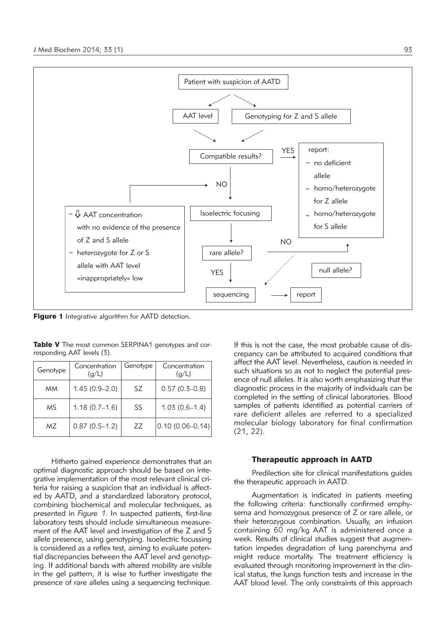

**Figure 1** Integrative algorithm for AATD detection.

|                            | <b>Table V</b> The most common SERPINA1 genotypes and cor- |  |  |
|----------------------------|------------------------------------------------------------|--|--|
| responding AAT levels (3). |                                                            |  |  |

| Genotype  | Concentration<br>(q/L) | Genotype | Concentration<br>(q/L) |
|-----------|------------------------|----------|------------------------|
| <b>MM</b> | $1.45(0.9 - 2.0)$      | SZ       | $0.57(0.5-0.8)$        |
| <b>MS</b> | $1.18(0.7-1.6)$        | SS       | $1.03(0.6-1.4)$        |
| MZ        | $0.87(0.5-1.2)$        | ZZ       | $0.10(0.06 - 0.14)$    |

Hitherto gained experience demonstrates that an optimal diagnostic approach should be based on integrative implementation of the most relevant clinical criteria for raising a suspicion that an individual is affected by AATD, and a standardized laboratory protocol, combining biochemical and molecular techniques, as presented in *Figure 1*. In suspected patients, first-line laboratory tests should include simultaneous measurement of the AAT level and investigation of the Z and S allele presence, using genotyping. Isoelectric focussing is considered as a reflex test, aiming to evaluate potential discrepancies between the AAT level and genotyping. If additional bands with altered mobility are visible in the gel pattern, it is wise to further investigate the presence of rare alleles using a sequencing technique.

If this is not the case, the most probable cause of discrepancy can be attributed to acquired conditions that affect the AAT level. Nevertheless, caution is needed in such situations so as not to neglect the potential presence of null alleles. It is also worth emphasizing that the diagnostic process in the majority of individuals can be completed in the setting of clinical laboratories. Blood samples of patients identified as potential carriers of rare deficient alleles are referred to a specialized molecular biology laboratory for final confirmation (21, 22).

# Therapeutic approach in AATD

Predilection site for clinical manifestations guides the therapeutic approach in AATD.

Augmentation is indicated in patients meeting the following criteria: functionally confirmed emphysema and homozygous presence of Z or rare allele, or their heterozygous combination. Usually, an infusion containing 60 mg/kg AAT is administered once a week. Results of clinical studies suggest that augmentation impedes degradation of lung parenchyma and might reduce mortality. The treatment efficiency is evaluated through monitoring improvement in the clinical status, the lungs function tests and increase in the AAT blood level. The only constraints of this approach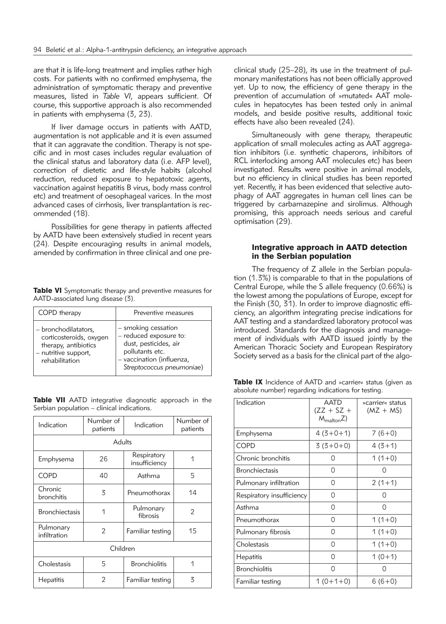are that it is life-long treatment and implies rather high costs. For patients with no confirmed emphysema, the administration of symptomatic therapy and preventive mea sures, listed in *Table VI,* appears sufficient. Of course, this supportive approach is also recommended in patients with emphysema (3, 23).

If liver damage occurs in patients with AATD, augmentation is not applicable and it is even assumed that it can aggravate the condition. Therapy is not specific and in most cases includes regular evaluation of the clinical status and laboratory data (i.e. AFP level), correction of dietetic and life-style habits (alcohol reduction, reduced exposure to hepatotoxic agents, vaccination against hepatitis B virus, body mass control etc) and treatment of oesophageal varices. In the most advanced cases of cirrhosis, liver transplantation is recommended (18).

Possibilities for gene therapy in patients affected by AATD have been extensively studied in recent years (24). Despite encouraging results in animal models, amended by confirmation in three clinical and one pre-

Table VI Symptomatic therapy and preventive measures for AATD-associated lung disease (3).

| COPD therapy                                                                                                      | Preventive measures                                                                                                                                 |
|-------------------------------------------------------------------------------------------------------------------|-----------------------------------------------------------------------------------------------------------------------------------------------------|
| - bronchodilatators,<br>corticosteroids, oxygen<br>therapy, antibiotics<br>- nutritive support,<br>rehabilitation | - smoking cessation<br>- reduced exposure to:<br>dust, pesticides, air<br>pollutants etc.<br>- vaccination (influenza,<br>Streptococcus pneumoniae) |

|  | <b>Table VII</b> AATD integrative diagnostic approach in the |  |  |
|--|--------------------------------------------------------------|--|--|
|  | Serbian population – clinical indications.                   |  |  |

| Indication                | Number of<br>patients             | Indication                   | Number of<br>patients |  |
|---------------------------|-----------------------------------|------------------------------|-----------------------|--|
|                           | Adults                            |                              |                       |  |
| Emphysema                 | 26                                | Respiratory<br>insufficiency | 1                     |  |
| <b>COPD</b>               | 40                                | Asthma                       | 5                     |  |
| Chronic<br>bronchitis     | 3                                 | Pneumothorax                 | 14                    |  |
| <b>Bronchiectasis</b>     | 1                                 | Pulmonary<br>fibrosis        | 2                     |  |
| Pulmonary<br>infiltration | $\mathcal{P}$<br>Familiar testing |                              | 15                    |  |
| Children                  |                                   |                              |                       |  |
| Cholestasis               | 5                                 | <b>Bronchiolitis</b>         |                       |  |
| <b>Hepatitis</b>          | 2                                 | Familiar testing             | 3                     |  |

clinical study (25–28), its use in the treatment of pulmonary manifestations has not been officially approved yet. Up to now, the efficiency of gene therapy in the prevention of accumulation of »mutated« AAT molecules in hepatocytes has been tested only in animal models, and beside positive results, additional toxic effects have also been revealed (24).

Simultaneously with gene therapy, therapeutic application of small molecules acting as AAT aggregation inhibitors (i.e. synthetic chaperons, inhibitors of RCL interlocking among AAT molecules etc) has been investigated. Results were positive in animal models, but no efficiency in clinical studies has been reported yet. Recently, it has been evidenced that selective autophagy of AAT aggregates in human cell lines can be triggered by carbamazepine and sirolimus. Although promising, this approach needs serious and careful optimisation (29).

# Integrative approach in AATD detection in the Serbian population

The frequency of Z allele in the Serbian population (1.3%) is comparable to that in the populations of Central Europe, while the S allele frequency (0.66%) is the lowest among the populations of Europe, except for the Finish (30, 31). In order to improve diagnostic efficiency, an algorithm integrating precise indications for AAT testing and a standardized laboratory protocol was introduced. Standards for the diagnosis and management of individuals with AATD issued jointly by the American Thoracic Society and European Respiratory Society served as a basis for the clinical part of the algo-

**Table IX** Incidence of AATD and »carrier« status (given as absolute number) regarding indications for testing.

| Indication                | <b>AATD</b><br>$(ZZ + SZ +$<br>$M_{\text{malton}}Z$ ) | » carrier« status<br>$(MZ + MS)$ |
|---------------------------|-------------------------------------------------------|----------------------------------|
| Emphysema                 | $4(3+0+1)$                                            | $7(6+0)$                         |
| <b>COPD</b>               | $3(3+0+0)$                                            | $4(3+1)$                         |
| Chronic bronchitis        | Ω                                                     | $1(1+0)$                         |
| <b>Bronchiectasis</b>     | Ω                                                     |                                  |
| Pulmonary infiltration    | Ω                                                     | $2(1+1)$                         |
| Respiratory insufficiency | 0                                                     | Ω                                |
| Asthma                    | Ω                                                     | Ω                                |
| Pneumothorax              | 0                                                     | $1(1+0)$                         |
| Pulmonary fibrosis        | Ω                                                     | $1(1+0)$                         |
| Cholestasis               | Ω                                                     | $1(1+0)$                         |
| Hepatitis                 | Ω                                                     | $1(0+1)$                         |
| <b>Bronchiolitis</b>      | Ω                                                     |                                  |
| Familiar testing          | 1 (0+1+0)                                             | $6(6+0)$                         |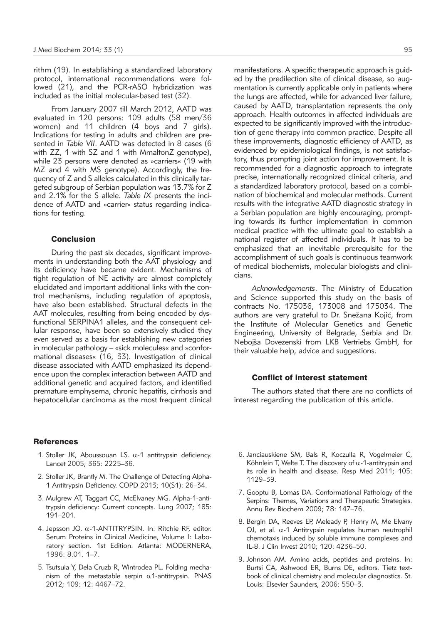rithm (19). In establishing a standardized laboratory protocol, international recommendations were followed (21), and the PCR-rASO hybridization was included as the initial molecular-based test (32).

From January 2007 till March 2012, AATD was evaluated in 120 persons: 109 adults (58 men/36 women) and 11 children (4 boys and 7 girls). Indications for testing in adults and children are presented in *Table VII*. AATD was detected in 8 cases (6 with ZZ, 1 with SZ and 1 with MmaltonZ genotype), while 23 persons were denoted as »carriers« (19 with MZ and 4 with MS genotype). Accordingly, the frequency of Z and S alleles calculated in this clinically targeted subgroup of Serbian population was 13.7% for Z and 2.1% for the S allele. *Table IX* presents the incidence of AATD and »carrier« status regarding indications for testing.

# **Conclusion**

During the past six decades, significant improvements in understanding both the AAT physiology and its deficiency have became evident. Mechanisms of tight regulation of NE activity are almost completely elucidated and important additional links with the control mechanisms, including regulation of apoptosis, have also been established. Structural defects in the AAT molecules, resulting from being encoded by dysfunctional SERPINA1 alleles, and the consequent cellular response, have been so extensively studied they even served as a basis for establishing new categories in molecular pathology – «sick molecules« and »conformational diseases« (16, 33). Investigation of clinical disease associated with AATD emphasized its dependence upon the complex interaction between AATD and additional genetic and acquired factors, and identified premature emphysema, chronic hepatitis, cirrhosis and hepatocellular carcinoma as the most frequent clinical

# **References**

- 1. Stoller JK, Aboussouan LS.  $\alpha$ -1 antitrypsin deficiency. Lancet 2005; 365: 2225–36.
- 2. Stoller JK, Brantly M. The Challenge of Detecting Alpha-1 Antitrypsin Deficiency. COPD 2013; 10(S1): 26–34.
- 3. Mulgrew AT, Taggart CC, McElvaney MG. Alpha-1-antitrypsin deficiency: Current concepts. Lung 2007; 185: 191–201.
- 4. Jepsson JO. a-1-ANTITRYPSIN. In: Ritchie RF, editor. Serum Proteins in Clinical Medicine, Volume I: Laboratory section. 1st Edition. Atlanta: MODERNERA, 1996: 8.01. 1–7.
- 5. Tsutsuia Y, Dela Cruzb R, Wintrodea PL. Folding mecha nism of the metastable serpin  $\alpha$ 1-antitrypsin. PNAS 2012; 109: 12: 4467–72.

manifestations. A specific therapeutic approach is guided by the predilection site of clinical disease, so augmentation is currently applicable only in patients where the lungs are affected, while for advanced liver failure, caused by AATD, transplantation represents the only approach. Health outcomes in affected individuals are expected to be significantly improved with the introduction of gene therapy into common practice. Despite all these improvements, diagnostic efficiency of AATD, as evidenced by epidemiological findings, is not satisfactory, thus prompting joint action for improvement. It is recommended for a diagnostic approach to integrate precise, internationally recognized clinical criteria, and a standardized laboratory protocol, based on a combination of biochemical and molecular methods. Current results with the integrative AATD diagnostic strategy in a Serbian population are highly encouraging, prompting towards its further implementation in common medical practice with the ultimate goal to establish a national register of affected individuals. It has to be emphasized that an inevitable prerequisite for the accomplishment of such goals is continuous teamwork of medical biochemists, molecular biologists and clinicians.

*Acknowledgements*. The Ministry of Education and Science supported this study on the basis of contracts No. 175036, 173008 and 175034. The authors are very grateful to Dr. Snežana Kojić, from the Institute of Molecular Genetics and Genetic Engineering, University of Belgrade, Serbia and Dr. Nebojša Dovezenski from LKB Vertriebs GmbH, for their valuable help, advice and suggestions.

# Conflict of interest statement

The authors stated that there are no conflicts of interest regarding the publication of this article.

- 6. Janciauskiene SM, Bals R, Koczulla R, Vogelmeier C, Köhnlein T, Welte T. The discovery of  $\alpha$ -1-antitrypsin and its role in health and disease. Resp Med 2011; 105: 1129–39.
- 7. Gooptu B, Lomas DA. Conformational Pathology of the Serpins: Themes, Variations and Therapeutic Strategies. Annu Rev Biochem 2009; 78: 147–76.
- 8. Bergin DA, Reeves EP, Meleady P, Henry M, Me Elvany OJ, et al.  $\alpha$ -1 Antitrypsin regulates human neutrophil chemotaxis induced by soluble immune complexes and IL-8. J Clin Invest 2010; 120: 4236–50.
- 9. Johnson AM. Amino acids, peptides and proteins. In: Burtsi CA, Ashwood ER, Burns DE, editors. Tietz textbook of clinical chemistry and molecular diagnostics. St. Louis: Elsevier Saunders, 2006: 550–3.